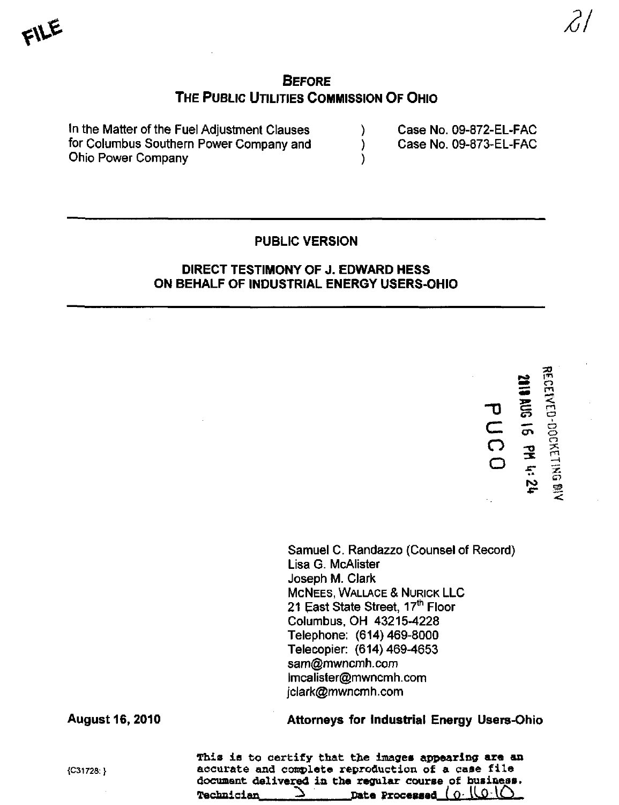# **BEFORE** THE PUBLIC UTILITIES COMMISSION OF OHIO

In the Matter of the Fuel Adjustment Clauses (a) Case No. 09-872-EL-FAC for Columbus Southern Power Company and (a) Case No. 09-873-EL-FAC Ohio Power Company )

# PUBLIC VERSION

### DIRECT TESTIMONY OF J. EDWARD HESS ON BEHALF OF INDUSTRIAL ENERGY USERS-OHIO

つ<br>ニ  $\overline{O}$ o g  $\overline{a}$  $\overline{\mathbf{C}}$  $\mathbf C$ m  $\tilde{\Xi}$  $\subset$ 

 $\epsilon$ 

Samuel C. Randazzo (Counsel of Record) Lisa G. McAlister Joseph M. Clark MCNEES, WALLACE & NURICK LLC 21 East State Street, 17<sup>th</sup> Floor Columbus, OH 43215-4228 Telephone: (614)469-8000 Telecopier: (614)469-4653 sam@mwncmh. com [lmcalister@mwncmh.com](mailto:lmcalister@mwncmh.com)  [jciark@mwncmh.com](mailto:jciark@mwncmh.com) 

August 16, 2010 Attorneys for Industrial Energy Users-Ohio

This is to certify that the images appearing are an  ${C31728:}$  accurate and complete reproduction of a case file document deliver^ in the regular course of business. Date Processed ( <u>O· ILO·IC</u>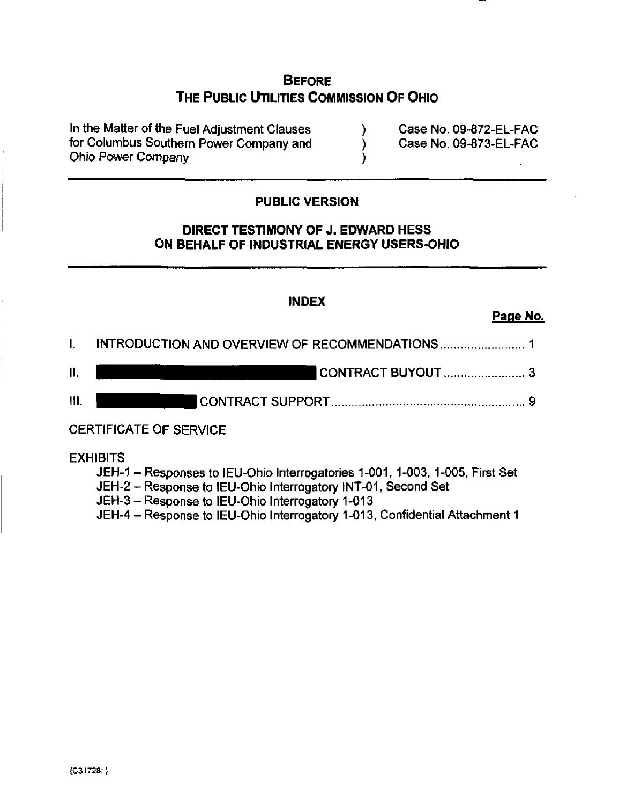# **BEFORE** THE PUBLIC UTILITIES COMMISSION OF OHIO

In the Matter of the Fuel Adjustment Clauses (a) Case No. 09-872-EL-FAC for Columbus Southern Power Company and (a) Case No. 09-873-EL-FAC Ohio Power Company )

# PUBLIC VERSION

# DIRECT TESTIMONY OF J. EDWARD HESS ON BEHALF OF INDUSTRIAL ENERGY USERS-OHIO

#### INDEX

# Page No. 2008 - 2008 - 2008 - 2008 - 2008 - 2008 - 2008 - 2008 - 2008 - 2008 - 2008 - 2008 - 2008 - 2008 - 20<br>Page No. 2008 - 2008 - 2008 - 2008 - 2008 - 2008 - 2008 - 2008 - 2008 - 2008 - 2008 - 2008 - 2008 - 2008 - 20<br>Pa

|                 | I. INTRODUCTION AND OVERVIEW OF RECOMMENDATIONS |
|-----------------|-------------------------------------------------|
| $\mathbf{II}$ . | CONTRACT BUYOUT  3                              |
| 111.            |                                                 |

**EXHIBITS** 

- JEH-1 Responses to IEU-Ohio Interrogatories 1-001, 1-003, 1-005, First Set
- JEH-2 Response to IEU-Ohio Interrogatory INT-01, Second Set
- JEH-3 Response to IEU-Ohio Interrogatory 1-013
- JEH-4 Response to IEU-Ohio Interrogatory 1-013, Confidential Attachment 1 JEH-4 - Response to lEU-Ohio Interrogatory 1-013, Confidential Attachment 1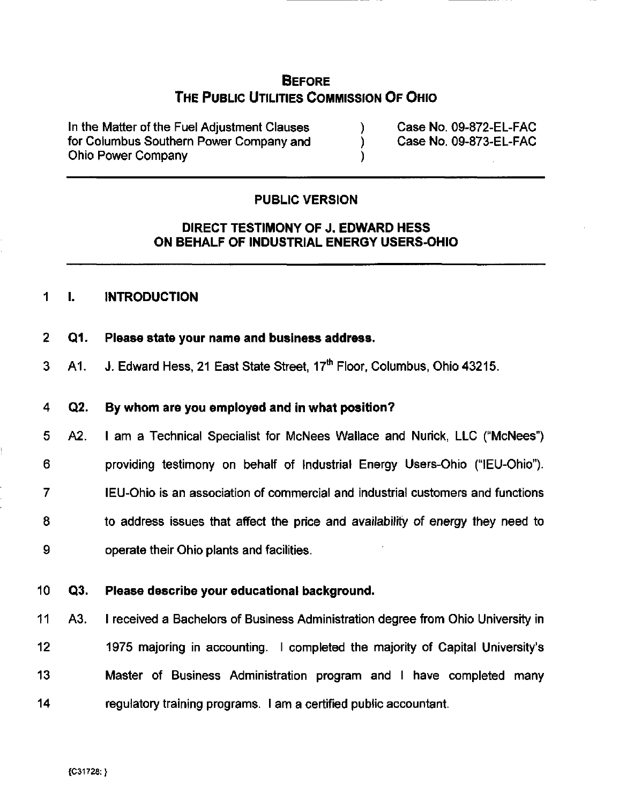# **BEFORE** THE PUBLIC UTILITIES COMMISSION OF OHIO

In the Matter of the Fuel Adjustment Clauses (a) Case No. 09-872-EL-FAC for Columbus Southern Power Company and (a) Case No, 09-873-EL-FAC Ohio Power Company )

# PUBLIC VERSION

# DIRECT TESTIMONY OF J. EDWARD HESS ON BEHALF OF INDUSTRIAL ENERGY USERS-OHIO

# 1 **I. INTRODUCTION**

- 2 Q1. Please state your name and business address.
- 3 A 1. J. Edward Hess, 21 East State Street, 17<sup>th</sup> Floor, Columbus, Ohio 43215.

#### 4 Q2. By whom are you employed and in what position?

5 A2. I am a Technical Specialist for McNees Wallace and Nurick, LLC ("McNees") 6 providing testimony on behalf of Industrial Energy Users-Ohio ("lEU-Ohio"). 7 lEU-Ohio is an association of commercial and industrial customers and functions 8 to address issues that affect the price and availability of energy they need to 9 operate their Ohio plants and facilities.

#### 10 Q3. Please describe your educational background.

11 A3. I received a Bachelors of Business Administration degree from Ohio University in 12 1975 majoring in accounting. I completed the majority of Capital University's 13 Master of Business Administration program and I have completed many 14 regulatory training programs. I am a certified public accountant.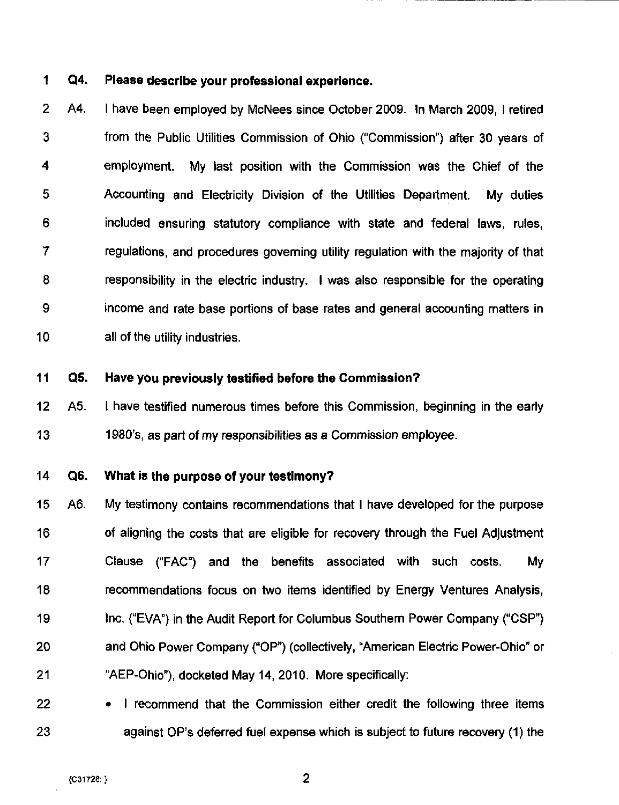# 1 Q4. Please describe your professional experience.

2 A4. I have been employed by McNees since October 2009. In March 2009, I retired 3 from the Public Utilities Commission of Ohio ("Commission") after 30 years of 4 employment. My last position with the Commission was the Chief of the 5 Accounting and Electricity Division of the Utilities Department. My duties 6 included ensuring statutory compliance with state and federal laws, rules, 7 regulations, and procedures governing utility regulation with the majority of that 8 responsibility in the electric industry, I was also responsible for the operating 9 income and rate base portions of base rates and general accounting matters in 10 all of the utility industries.

#### 11 Q5. Have you previously testified before the Commission?

12 A5. I have testified numerous times before this Commission, beginning in the early 13 1980's, as part of my responsibilities as a Commission employee.

#### 14 Q6. What is the purpose of your testimony?

15 A6. My testimony contains recommendations that I have developed for the purpose 16 of aligning the costs that are eligible for recovery through the Fuel Adjustment 17 Clause ("FAC") and the benefits associated with such costs. My 18 recommendations focus on two items identified by Energy Ventures Analysis, 19 Inc. ("EVA") in the Audit Report for Columbus Southern Power Company ("CSP") 20 and Ohio Power Company ("OP") (collectively, "American Electric Power-Ohio" or 21 "AEP-Ohio"). docketed May 14, 2010. More specifically:

22 • I recommend that the Commission either credit the following three items 23 against OP's deferred fuel expense which is subject to future recovery (1) the

 $\overline{2}$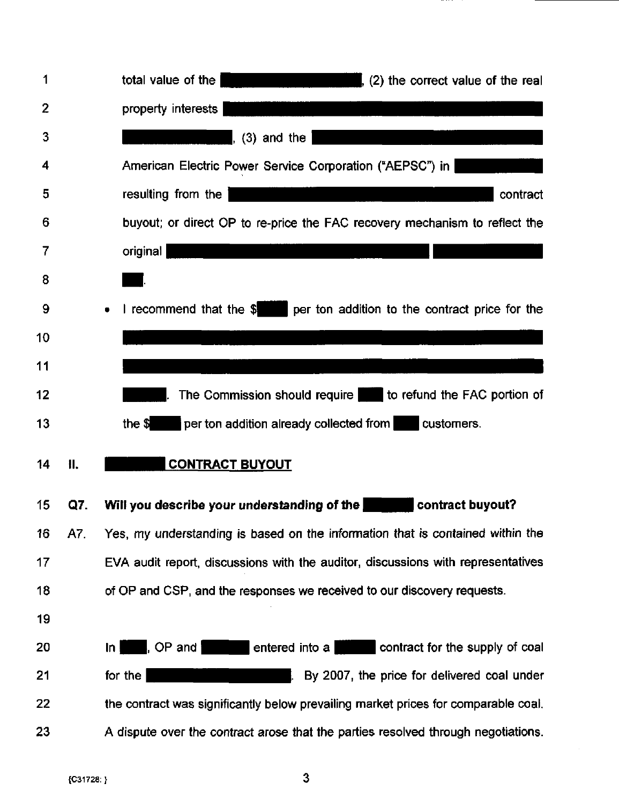| 1            |     | total value of the<br><u> 1980 - Johann Barnett, mars et al. 1980 - Anna ann an t-</u><br>, $(2)$ the correct value of the real |
|--------------|-----|---------------------------------------------------------------------------------------------------------------------------------|
| $\mathbf{2}$ |     | property interests                                                                                                              |
| 3            |     | $(3)$ and the $\overline{)}$                                                                                                    |
| 4            |     | American Electric Power Service Corporation ("AEPSC") in                                                                        |
| 5            |     | resulting from the<br>contract                                                                                                  |
| 6            |     | buyout; or direct OP to re-price the FAC recovery mechanism to reflect the                                                      |
| 7            |     | original                                                                                                                        |
| 8            |     |                                                                                                                                 |
| 9            |     | I recommend that the \$ per ton addition to the contract price for the<br>$\bullet$                                             |
| 10           |     |                                                                                                                                 |
| 11           |     |                                                                                                                                 |
| 12           |     | The Commission should require to refund the FAC portion of                                                                      |
|              |     |                                                                                                                                 |
| 13           |     | per ton addition already collected from <b>the customers</b> .<br>the $\frac{1}{2}$                                             |
| 14           | 11. | <b>CONTRACT BUYOUT</b>                                                                                                          |
| 15           | Q7. | Will you describe your understanding of the <b>Soutier Contract buyout?</b>                                                     |
| 16           | A7. | Yes, my understanding is based on the information that is contained within the                                                  |
| 17           |     | EVA audit report, discussions with the auditor, discussions with representatives                                                |
| 18           |     | of OP and CSP, and the responses we received to our discovery requests.                                                         |
| 19           |     |                                                                                                                                 |
| 20           |     | l, OP and <b>l</b><br>entered into a<br>contract for the supply of coal<br>$\ln$                                                |
| 21           |     | By 2007, the price for delivered coal under<br>for the                                                                          |
| 22           |     | the contract was significantly below prevailing market prices for comparable coal.                                              |

 $\mathbf{3}$ 

 $\bar{\gamma}$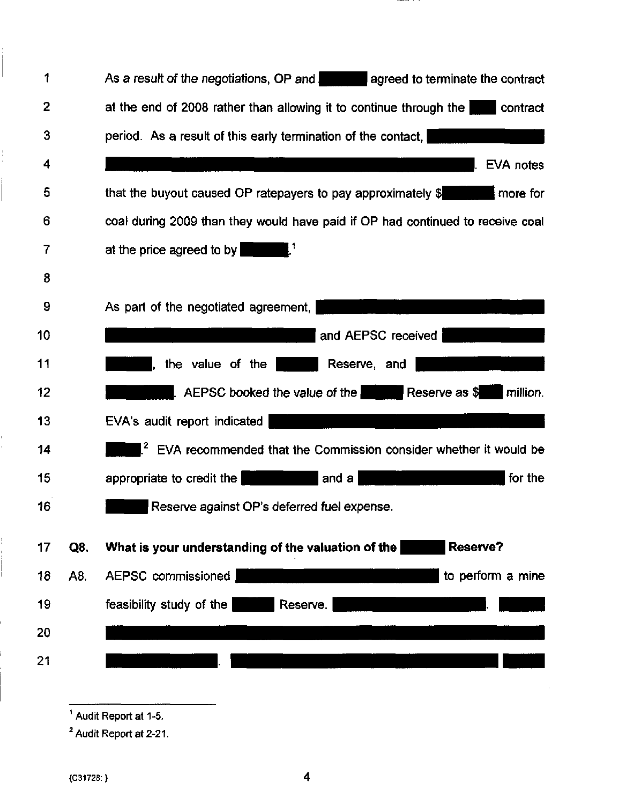| 1              |     | As a result of the negotiations, OP and agreed to terminate the contract         |
|----------------|-----|----------------------------------------------------------------------------------|
| $\overline{2}$ |     | at the end of 2008 rather than allowing it to continue through the               |
| 3              |     | period. As a result of this early termination of the contact,                    |
| 4              |     | EVA notes                                                                        |
| 5              |     | that the buyout caused OP ratepayers to pay approximately $\frac{1}{2}$ more for |
| 6              |     | coal during 2009 than they would have paid if OP had continued to receive coal   |
| $\overline{7}$ |     | at the price agreed to by                                                        |
| 8              |     |                                                                                  |
| 9              |     | As part of the negotiated agreement,                                             |
| 10             |     | and AEPSC received                                                               |
| 11             |     | the value of the  <br>Reserve, and I                                             |
| 12             |     | Reserve as \$<br>$\blacksquare$ AEPSC booked the value of the<br>million.        |
| 13             |     | EVA's audit report indicated                                                     |
| 14             |     | $12$ EVA recommended that the Commission consider whether it would be            |
| 15             |     | for the<br>$ $ and a $ $<br>appropriate to credit the                            |
| 16             |     | Reserve against OP's deferred fuel expense.                                      |
|                |     |                                                                                  |
| 17             | Q8. | <b>Reserve?</b><br>What is your understanding of the valuation of the            |
| 18             | A8. | AEPSC commissioned<br>to perform a mine                                          |
| 19             |     | feasibility study of the<br>Reserve.                                             |
| 20             |     |                                                                                  |
| 21             |     |                                                                                  |

 $\overline{A}$  Audit Report at 1-5.

 $<sup>2</sup>$  Audit Report at 2-21.</sup>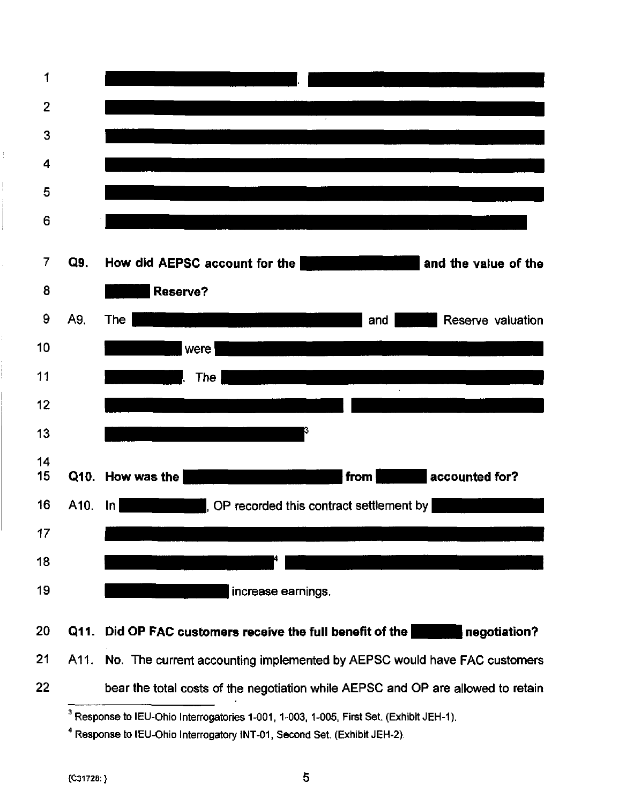

- 20 Q11. Did OP FAC customers receive the full benefit of the **negotiation?**
- 21 A11. No. The current accounting implemented by AEPSC would have FAC customers
- 22 bear the total costs of the negotiation while AEPSC and OP are allowed to retain

 $^3$  Response to IEU-Ohio Interrogatories 1-001, 1-003, 1-005, First Set. (Exhibit JEH-1).

<sup>&</sup>lt;sup>4</sup> Response to IEU-Ohio Interrogatory INT-01, Second Set. (Exhibit JEH-2).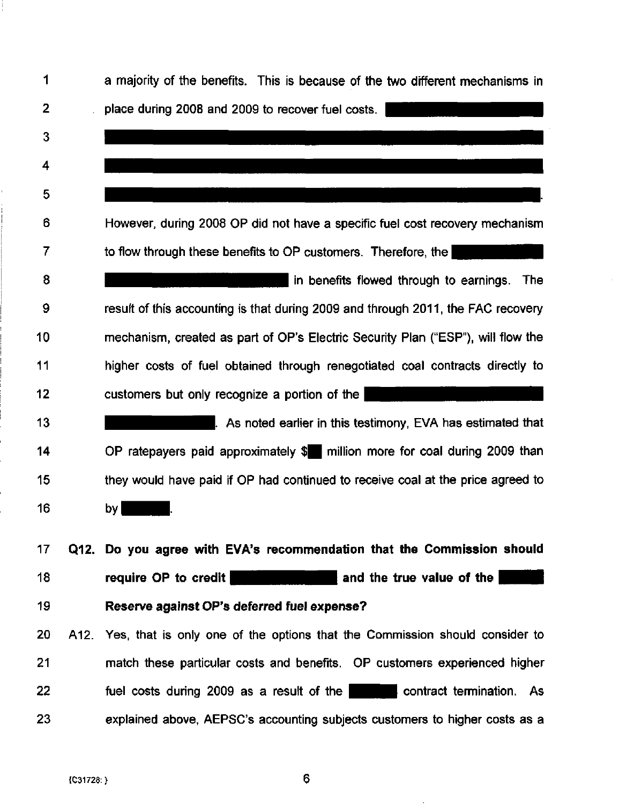| 1              | a majority of the benefits. This is because of the two different mechanisms in                                                                                       |
|----------------|----------------------------------------------------------------------------------------------------------------------------------------------------------------------|
| $\overline{2}$ | place during 2008 and 2009 to recover fuel costs.                                                                                                                    |
| 3              |                                                                                                                                                                      |
| 4              |                                                                                                                                                                      |
| 5              |                                                                                                                                                                      |
| 6              | However, during 2008 OP did not have a specific fuel cost recovery mechanism                                                                                         |
| 7              | to flow through these benefits to OP customers. Therefore, the                                                                                                       |
| 8              | in benefits flowed through to earnings. The                                                                                                                          |
| 9              | result of this accounting is that during 2009 and through 2011, the FAC recovery                                                                                     |
| 10             | mechanism, created as part of OP's Electric Security Plan ("ESP"), will flow the                                                                                     |
| 11             | higher costs of fuel obtained through renegotiated coal contracts directly to                                                                                        |
| 12             | customers but only recognize a portion of the<br><u> Kanadian Serikatan Serikatan Serikatan Serikatan Serikatan Serikatan Serikatan Serikatan Serikatan Serikata</u> |
| 13             | . As noted earlier in this testimony, EVA has estimated that                                                                                                         |
| 14             | OP ratepayers paid approximately \$ million more for coal during 2009 than                                                                                           |
| 15             | they would have paid if OP had continued to receive coal at the price agreed to                                                                                      |
| 16             | by                                                                                                                                                                   |
| 17             | Q12. Do you agree with EVA's recommendation that the Commission should                                                                                               |
| 18             | require OP to credit<br>and the true value of the                                                                                                                    |
| 19             | Reserve against OP's deferred fuel expense?                                                                                                                          |
| 20             | A12. Yes, that is only one of the options that the Commission should consider to                                                                                     |
| 21             | match these particular costs and benefits. OP customers experienced higher                                                                                           |
| 22             | fuel costs during 2009 as a result of the <b>the contract termination.</b> As                                                                                        |
| 23             | explained above, AEPSC's accounting subjects customers to higher costs as a                                                                                          |
|                |                                                                                                                                                                      |

 $\bar{z}$ 

ļ.

 $\boldsymbol{6}$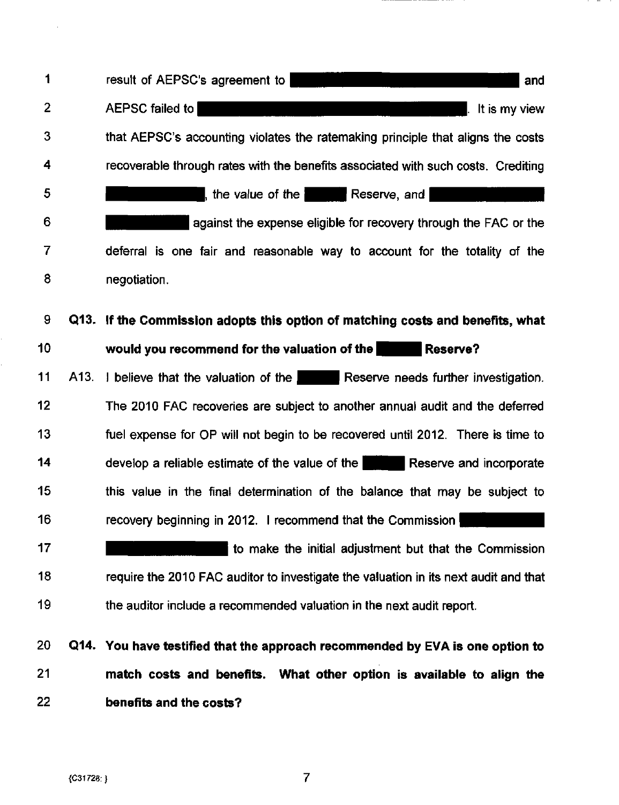1 2 3 4 5 6 7 8 9 10 11 12 13 14 15 16 17 18 19 result of AEPSC's agreement to IHSO in the Institute of AEPSC's agreement to I AEPSC failed to **ALITY CONTROLLER IN THE SET ALITES** ALL It is my view that AEPSC's accounting violates the ratemaking principle that aligns the costs recoverable through rates with the benefits associated with such costs. Crediting , the value of the  $\vert$  Reserve, and  $\vert$ against the expense eligible for recovery through the FAC or the deferral is one fair and reasonable way to account for the totality of the negotiation. Q13. If the Commission adopts this option of matching costs and benefits, what would you recommend for the valuation of the Hesserve? A13. I believe that the valuation of the **Reserve needs further investigation.** The 2010 FAC recoveries are subject to another annual audit and the deferred fuel expense for OP will not begin to be recovered until 2012. There is time to develop a reliable estimate of the value of the **Reserve and incorporate** this value in the final determination of the balance that may be subject to recovery beginning in 2012. I recommend that the Commission  $\mathsf{I}$  $\parallel$  to make the initial adjustment but that the Commission require the 2010 FAC auditor to investigate the valuation in its next audit and that the auditor include a recommended valuation in the next audit report. 20 Q14. You have testified that the approach recommended by EVA is one option to 21 match costs and benefits. What other option is available to align the

22 benefits and the costs?

 $\overline{7}$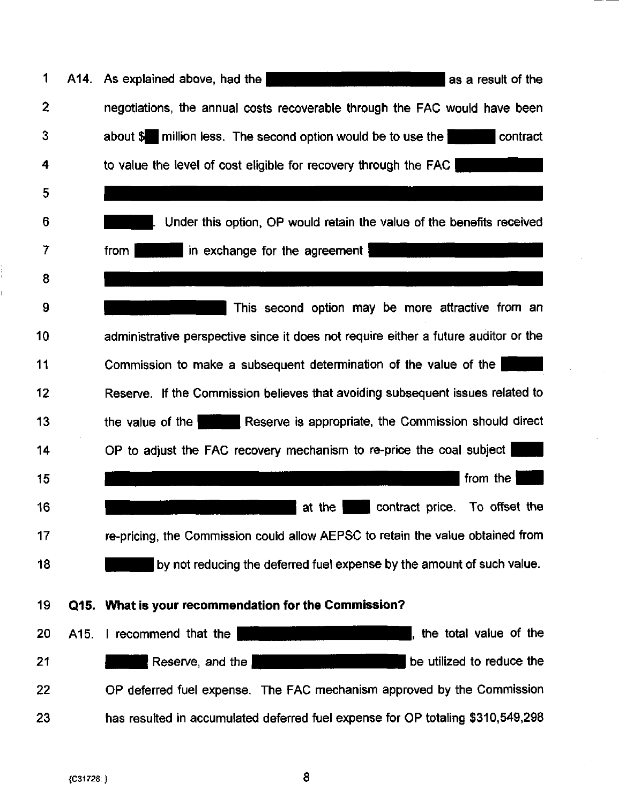| 1            |      | A14. As explained above, had the<br>as a result of the                              |
|--------------|------|-------------------------------------------------------------------------------------|
| $\mathbf{2}$ |      | negotiations, the annual costs recoverable through the FAC would have been          |
| 3            |      | about \$ million less. The second option would be to use the<br>contract            |
| 4            |      | to value the level of cost eligible for recovery through the FAC                    |
| 5            |      |                                                                                     |
| 6            |      | Under this option, OP would retain the value of the benefits received               |
| 7            |      | in exchange for the agreement<br>from                                               |
| 8            |      |                                                                                     |
| 9            |      | This second option may be more attractive from an                                   |
| 10           |      | administrative perspective since it does not require either a future auditor or the |
| 11           |      | Commission to make a subsequent determination of the value of the                   |
| 12           |      | Reserve. If the Commission believes that avoiding subsequent issues related to      |
| 13           |      | the value of the <b>Reserve</b> is appropriate, the Commission should direct        |
| 14           |      | OP to adjust the FAC recovery mechanism to re-price the coal subject                |
| 15           |      | from the $ $                                                                        |
| 16           |      | contract price.<br>To offset the<br>at the                                          |
| 17           |      | re-pricing, the Commission could allow AEPSC to retain the value obtained from      |
| 18           |      | by not reducing the deferred fuel expense by the amount of such value.              |
| 19           |      | Q15. What is your recommendation for the Commission?                                |
| 20           | A15. | , the total value of the<br>I recommend that the                                    |
| 21           |      | be utilized to reduce the<br>Reserve, and the                                       |
| 22           |      | OP deferred fuel expense. The FAC mechanism approved by the Commission              |
| 23           |      | has resulted in accumulated deferred fuel expense for OP totaling \$310,549,298     |

 $-\cdot$   $-$ 

i<br>i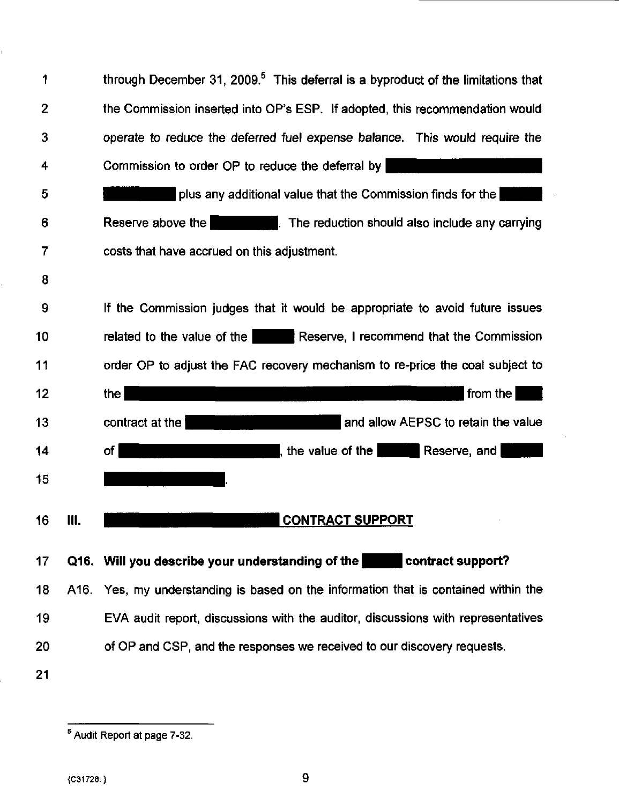| 1              |      | through December 31, 2009. <sup>5</sup> This deferral is a byproduct of the limitations that |
|----------------|------|----------------------------------------------------------------------------------------------|
| $\overline{2}$ |      | the Commission inserted into OP's ESP. If adopted, this recommendation would                 |
| 3              |      | operate to reduce the deferred fuel expense balance. This would require the                  |
| 4              |      | Commission to order OP to reduce the deferral by                                             |
| 5              |      | plus any additional value that the Commission finds for the                                  |
| 6              |      | Reserve above the <b>Reservant Control</b> . The reduction should also include any carrying  |
| 7              |      | costs that have accrued on this adjustment.                                                  |
| 8              |      |                                                                                              |
| 9              |      | If the Commission judges that it would be appropriate to avoid future issues                 |
| 10             |      | Reserve, I recommend that the Commission<br>related to the value of the                      |
| 11             |      | order OP to adjust the FAC recovery mechanism to re-price the coal subject to                |
|                |      |                                                                                              |
| 12             |      | from the<br>the I<br>a ser                                                                   |
| 13             |      | and allow AEPSC to retain the value<br>contract at the                                       |
| 14             |      | the value of the Reserve, and<br>of I                                                        |
| 15             |      |                                                                                              |
| 16             | Ш.   | <b>CONTRACT SUPPORT</b>                                                                      |
| 17             |      | Q16. Will you describe your understanding of the contract support?                           |
| 18             | A16. | Yes, my understanding is based on the information that is contained within the               |
| 19             |      | EVA audit report, discussions with the auditor, discussions with representatives             |
| 20             |      | of OP and CSP, and the responses we received to our discovery requests.                      |

s<br>Audit Report at page 7-32.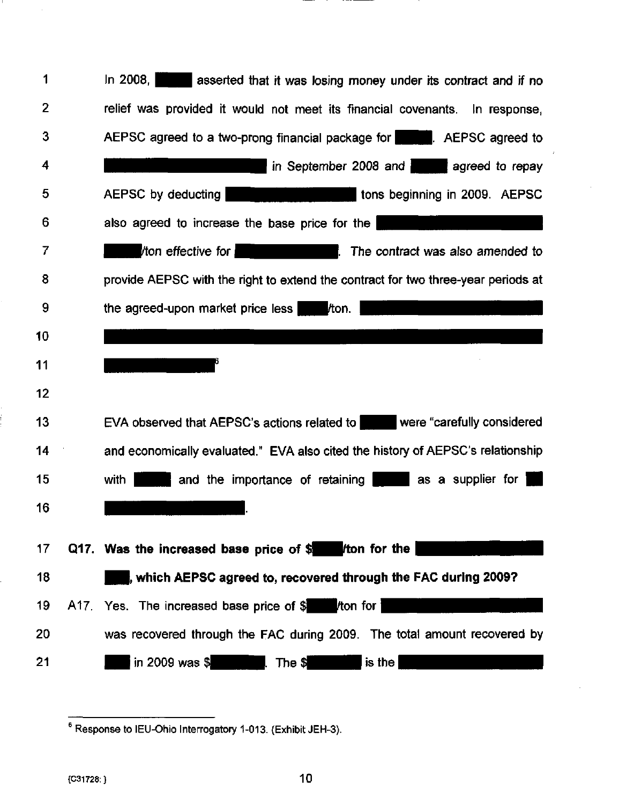| 1              | In 2008, asserted that it was losing money under its contract and if no                    |
|----------------|--------------------------------------------------------------------------------------------|
| $\overline{2}$ | relief was provided it would not meet its financial covenants. In response,                |
| 3              | AEPSC agreed to a two-prong financial package for <b>AEPSC</b> agreed to                   |
| 4              | in September 2008 and agreed to repay                                                      |
| 5              | AEPSC by deducting<br>tons beginning in 2009. AEPSC                                        |
| 6              | also agreed to increase the base price for the                                             |
| 7              | ton effective for <b>the contract was also amended to</b> the contract was also amended to |
| 8              | provide AEPSC with the right to extend the contract for two three-year periods at          |
| 9              | the agreed-upon market price less from.                                                    |
| 10             |                                                                                            |
| 11             |                                                                                            |
| 12             |                                                                                            |
| 13             | EVA observed that AEPSC's actions related to were "carefully considered"                   |
| 14             | and economically evaluated." EVA also cited the history of AEPSC's relationship            |
| 15             | and the importance of retaining as a supplier for<br>with I                                |
| 16             |                                                                                            |
| 17             | Q17. Was the increased base price of \$ /ton for the                                       |
| 18             | which AEPSC agreed to, recovered through the FAC during 2009?                              |
|                |                                                                                            |
| 19             | A17. Yes. The increased base price of \$ /ton for                                          |
| 20             | was recovered through the FAC during 2009. The total amount recovered by                   |
| 21             | in 2009 was $$$<br>$is$ the<br>The \$                                                      |

л.

Response to lEU-Ohio Interrogatory 1-013. (Exhibit JEH-3).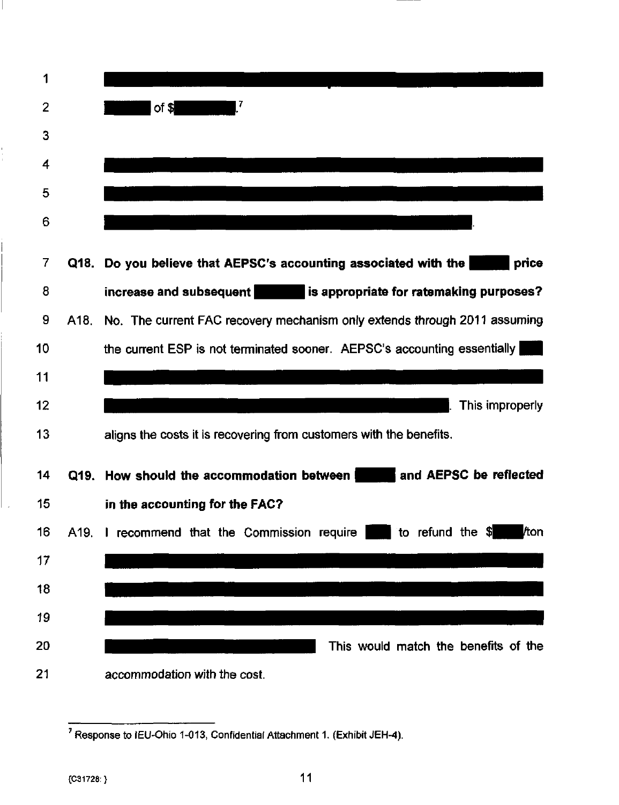

 $<sup>7</sup>$  Response to IEU-Ohio 1-013, Confidential Attachment 1. (Exhibit JEH-4).</sup>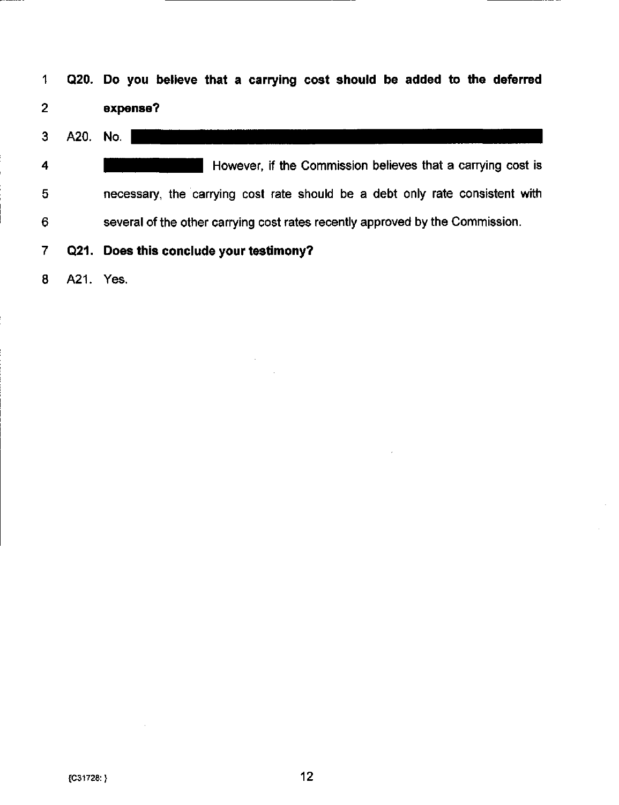| $\mathbf 1$             |           | Q20. Do you believe that a carrying cost should be added to the deferred      |
|-------------------------|-----------|-------------------------------------------------------------------------------|
| $\overline{2}$          |           | expense?                                                                      |
| 3                       | A20.      | No.                                                                           |
| $\overline{\mathbf{4}}$ |           | However, if the Commission believes that a carrying cost is                   |
| 5                       |           | necessary, the carrying cost rate should be a debt only rate consistent with  |
| 6                       |           | several of the other carrying cost rates recently approved by the Commission. |
| $\overline{7}$          | Q21.      | Does this conclude your testimony?                                            |
| 8                       | A21. Yes. |                                                                               |

 $\sim 10$ 

 $\sim$   $\sim$ 

 $\mathcal{L}$ 

 $\bar{z}$ 

 $\mathcal{L}^{\text{max}}$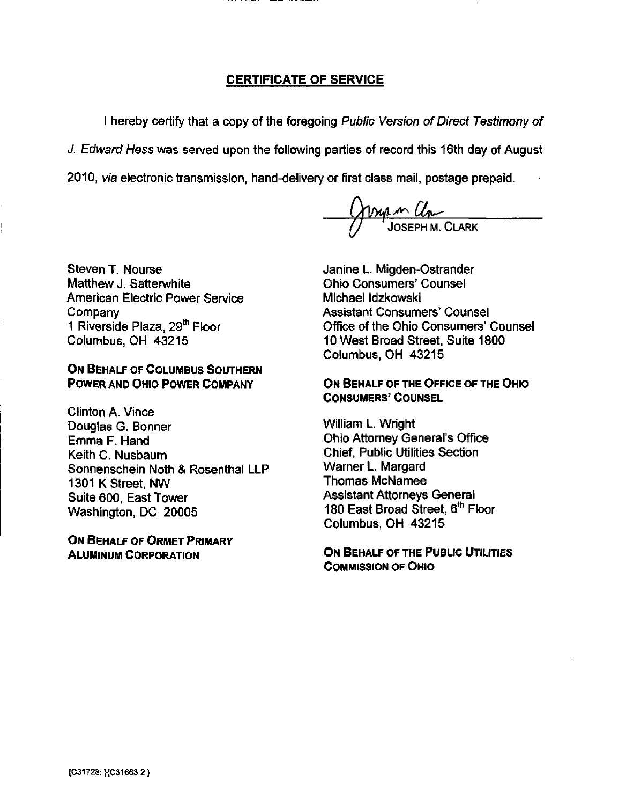# CERTIFICATE OF SERVICE

I hereby certify that a copy of the foregoing Public Version of Direct Testimony of J. Edward Hess was served upon the following parties of record this 16th day of August

2010, via electronic transmission, hand-delivery or first class mail, postage prepaid.

<u>M Um</u> JOSEPH M. CLARK

Steven T. Nourse Matthew J. Satterwhite American Electric Power Service Company 1 Riverside Plaza, 29<sup>th</sup> Floor Columbus, OH 43215

## ON BEHALF OF COLUMBUS SOUTHERN POWER AND OHIO POWER COMPANY

Clinton A. Vince Douglas G. Bonner Emma F. Hand Keith C. Nusbaum Sonnenschein Noth & Rosenthal LLP 1301 K Street, NW Suite 600, East Tower Washington. DC 20005

ON BEHALF OF ORMET PRIMARY ALUMINUM CORPORATION

Janine L. Migden-Ostrander Ohio Consumers' Counsel Michael Idzkowski Assistant Consumers' Counsel Office of the Ohio Consumers' Counsel 10 West Broad Street, Suite 1800 Columbus, OH 43215

ON BEHALF OF THE OFFICE OF THE OHIO CONSUMERS' COUNSEL

William L. Wright Ohio Attorney General's Office Chief, Public Utilities Section Warner L. Margard Thomas McNamee Assistant Attorneys General 180 East Broad Street, 6<sup>th</sup> Floor Columbus. OH 43215

ON BEHALF OF THE PUBLIC UTILITIES COMMISSION OF OHIO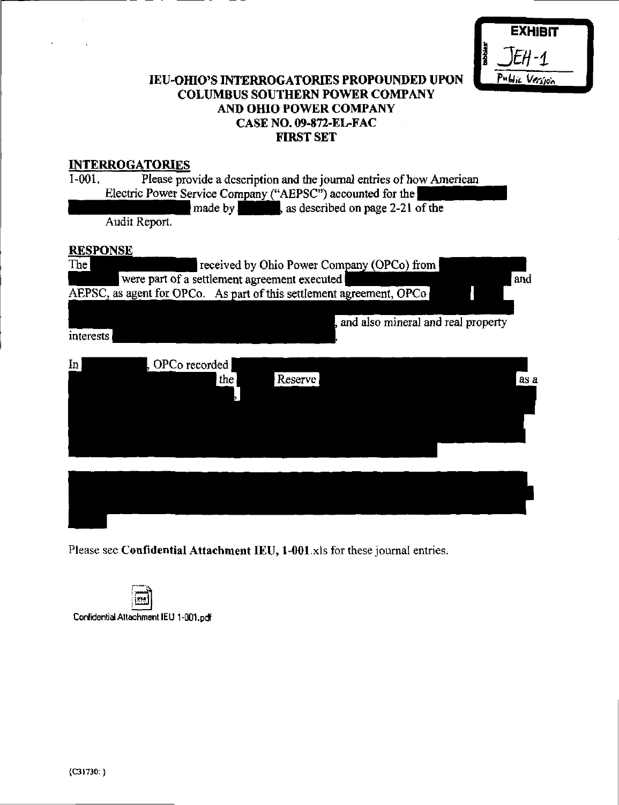|        | <b>EXHIBIT</b> |
|--------|----------------|
| mobies | 1EH - 1.       |
|        | Public Version |

# lEU-OHIO'S INTERROGATORIES PROPOUNDED UPON COLUMBUS SOUTHERN POWER COMPANY AND OHIO POWER COMPANY CASE NO. 09-872-EL-FAC FIRST SET

# INTERROGATORIES

| $1-001$ . | Please provide a description and the journal entries of how American |
|-----------|----------------------------------------------------------------------|
|           | Electric Power Service Company ("AEPSC") accounted for the           |
|           | made by sales as described on page 2-21 of the                       |
|           | Audit Report.                                                        |
|           | <b>RESPONSE</b>                                                      |
| The       | received by Ohio Power Company (OPCo) from                           |
|           | were part of a settlement agreement executed<br>and                  |
|           | AEPSC, as agent for OPCo. As part of this settlement agreement, OPCo |
|           |                                                                      |
|           | , and also mineral and real property                                 |
| interests |                                                                      |
|           |                                                                      |
| $\ln  $   | , OPCo recorded                                                      |
|           | Reserve<br>the<br>as a                                               |
|           |                                                                      |
|           |                                                                      |
|           |                                                                      |
|           |                                                                      |
|           |                                                                      |
|           |                                                                      |
|           |                                                                      |
|           |                                                                      |
|           |                                                                      |

Please see Confidential Attachment lEU, 1-001.xls for these journal entries.

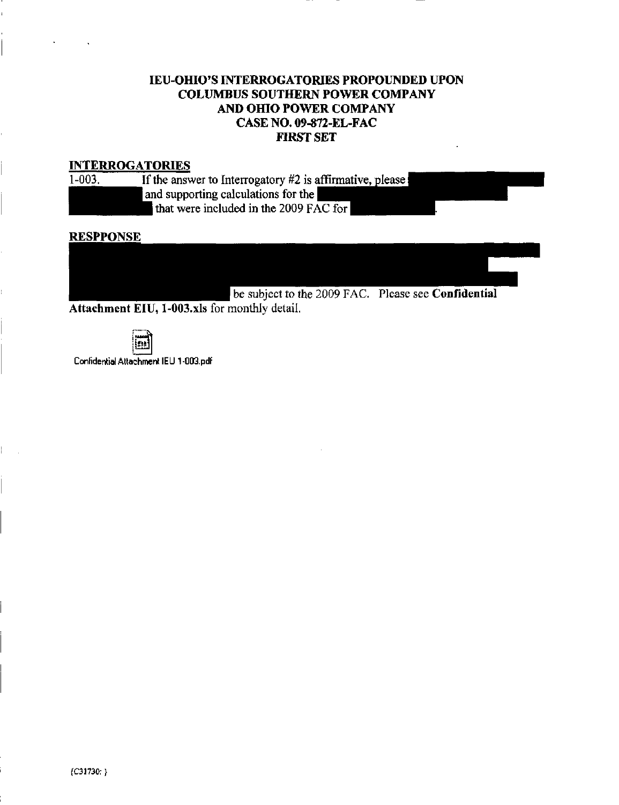# lEU-OHIO'S INTERROGATORIES PROPOUNDED UPON COLUMBUS SOUTHERN POWER COMPANY AND OHIO POWER COMPANY CASE NO. 09-872-EL-FAC FIRST SET

#### INTERROGATORIES

| $1 - 003.$ | If the answer to            |
|------------|-----------------------------|
|            | and supporting              |
|            | المتلأل والمستناد والمستطيع |

o Interrogatory #2 is affirmative, please  $g$  calculations for the that were included in the 2009 FAC for

#### **RESPPONSE**

subject to the 2009 FAC. Please see **Confidential** 

Attachment EIU, l-003.xls for monthly detail.



Confidential Attachment IEU 1-003.pdf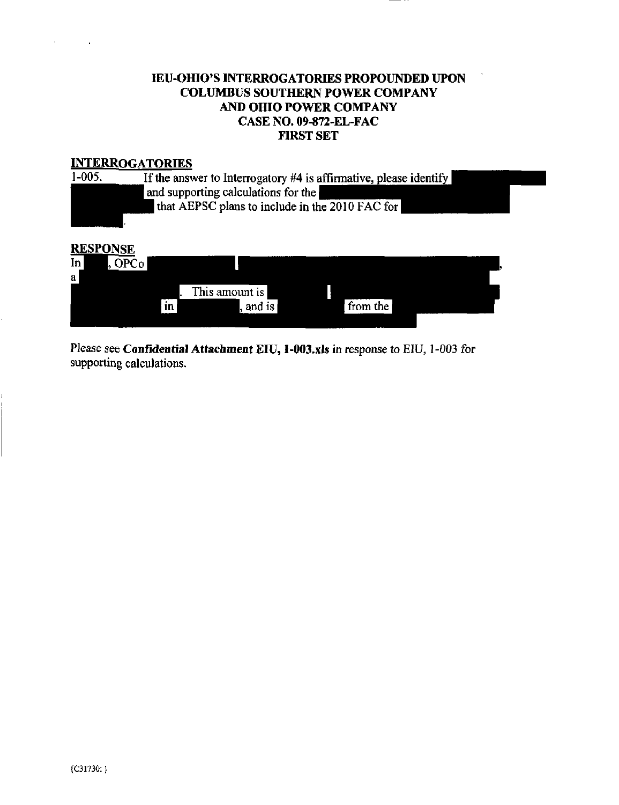# IEU-OHIO\*S INTERROGATORIES PROPOUNDED UPON COLUMBUS SOUTHERN POWER COMPANY AND OHIO POWER COMPANY CASE NO. 09-872-EL-FAC FIRST SET

# **INTERROGATORIES**<br>1-005. If the answ



# RESPONSE

| In<br>a | $\mathcal{P}Co_{\blacktriangleright}$ |    |                 |          |  |
|---------|---------------------------------------|----|-----------------|----------|--|
|         |                                       |    | This amount is! |          |  |
|         |                                       | 1n | and is          | from the |  |
|         |                                       |    |                 |          |  |

Please see Confidential Attachment EIU, l-003.xls in response to EIU, 1-003 for supporting calculations.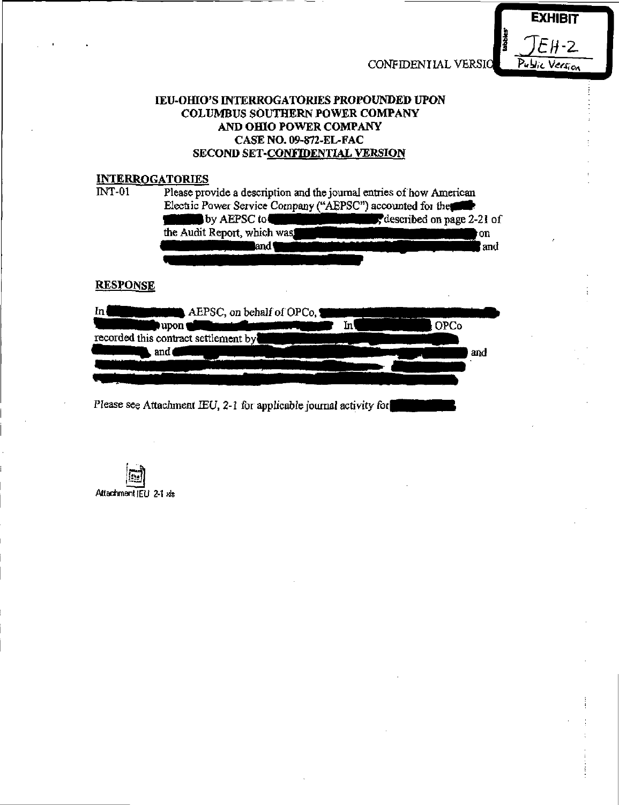CONFIDENIIAL VERSIO



### lEU-OHIO'S INTERROGATORIES PROPOUNDED UPON COLUMBUS SOUTHERN POWER COMPANY AND OHIO POWER COMPANY CASE NO. 09-872-EL-FAC SECOND SET-CONFIDENTIAL VERSION

#### INTERROGATORIES

| <b>INT-01</b>   | Please provide a description and the journal entries of how American<br>Electric Power Service Company ("AEPSC") accounted for the |                           |     |  |  |
|-----------------|------------------------------------------------------------------------------------------------------------------------------------|---------------------------|-----|--|--|
|                 | by AEPSC to                                                                                                                        | described on page 2-21 of |     |  |  |
|                 | the Audit Report, which was                                                                                                        | OR                        |     |  |  |
|                 | land !                                                                                                                             |                           | and |  |  |
|                 |                                                                                                                                    |                           |     |  |  |
| <b>RESPONSE</b> |                                                                                                                                    |                           |     |  |  |
| m               | AEPSC, on behalf of OPCo,                                                                                                          |                           |     |  |  |
|                 | In١<br>upon                                                                                                                        | <b>OPCo</b>               |     |  |  |
|                 | recorded this contract settlement by                                                                                               |                           |     |  |  |
|                 | and                                                                                                                                | and                       |     |  |  |
|                 |                                                                                                                                    |                           |     |  |  |
|                 |                                                                                                                                    |                           |     |  |  |
|                 | Please see Attachment IEU, 2-1 for applicable journal activity for                                                                 |                           |     |  |  |

Attachment JEU 2-1 wis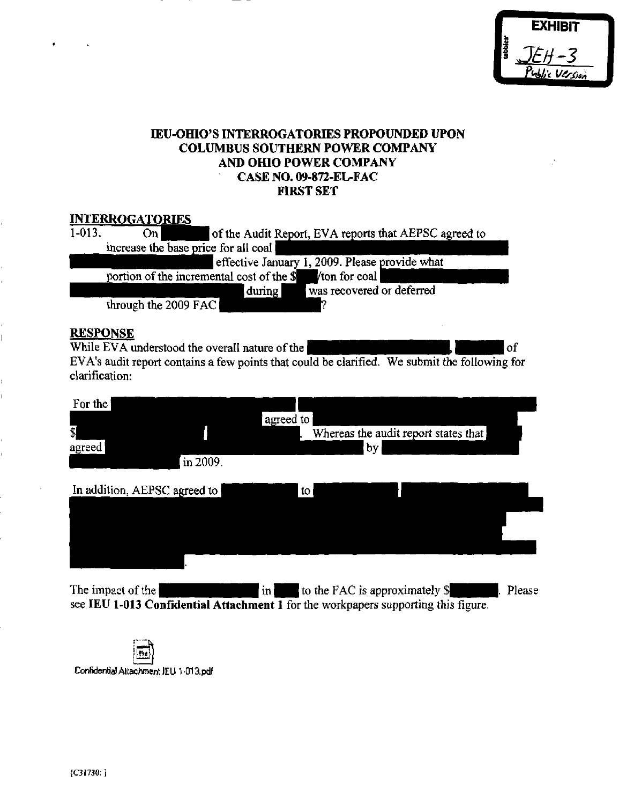# lEU-OHIO'S INTERROGATORIES PROPOUNDED UPON COLUMBUS SOUTHERN POWER COMPANY AND OHIO POWER COMPANY CASE NO. 09-872-EL-FAC FIRST SET

# INTERROGATORIES

| $1-013$ .                                                  | Onl                  | of the Audit Report, EVA reports that AEPSC agreed to |  |  |  |  |
|------------------------------------------------------------|----------------------|-------------------------------------------------------|--|--|--|--|
| increase the base price for all coal                       |                      |                                                       |  |  |  |  |
| effective January 1, 2009. Please provide what             |                      |                                                       |  |  |  |  |
| portion of the incremental cost of the \$<br>Vton for coal |                      |                                                       |  |  |  |  |
|                                                            |                      | was recovered or deferred<br>during                   |  |  |  |  |
|                                                            | through the 2009 FAC |                                                       |  |  |  |  |

RESPONSE<br>While EVA understood the overall nature of the **and all the contract of the set of** of While EVA understood the overall nature of the  $\Box$ EVA's audit report contains a few points that could be clarified. We submit the following for clarification:

| For the<br>$\overline{\mathbb{S}}$<br>agreed | $\ln 2009$ . | agreed to     |               | Whereas the audit report states that<br> by |        |
|----------------------------------------------|--------------|---------------|---------------|---------------------------------------------|--------|
| In addition, AEPSC agreed to                 |              |               | $\mathsf{to}$ |                                             |        |
| The impact of the                            |              | $\mathbf{in}$ |               | to the FAC is approximately \$              | Please |

see lEU 1-013 Confidential Attachment 1 for the workpapers supporting this figure.

94 Confidential Attachment lEU 1 -013.pdf